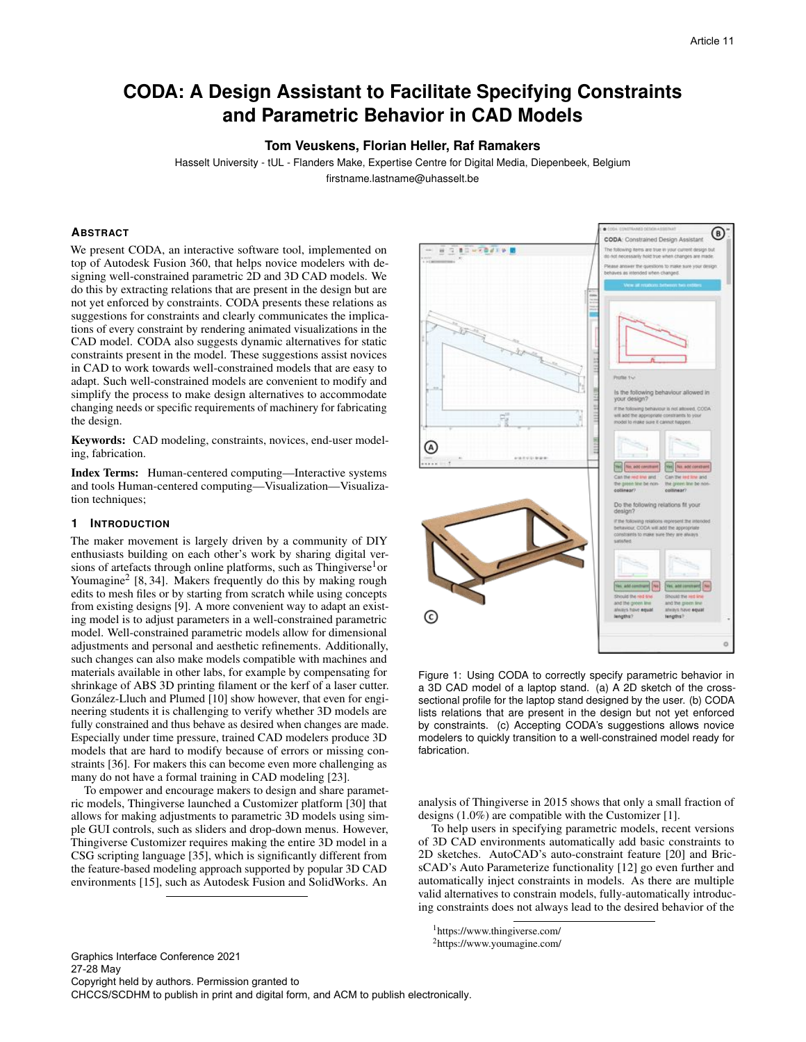# **CODA: A Design Assistant to Facilitate Specifying Constraints and Parametric Behavior in CAD Models**

# **Tom Veuskens, Florian Heller, Raf Ramakers**

Hasselt University - tUL - Flanders Make, Expertise Centre for Digital Media, Diepenbeek, Belgium firstname.lastname@uhasselt.be

# **ABSTRACT**

We present CODA, an interactive software tool, implemented on top of Autodesk Fusion 360, that helps novice modelers with designing well-constrained parametric 2D and 3D CAD models. We do this by extracting relations that are present in the design but are not yet enforced by constraints. CODA presents these relations as suggestions for constraints and clearly communicates the implications of every constraint by rendering animated visualizations in the CAD model. CODA also suggests dynamic alternatives for static constraints present in the model. These suggestions assist novices in CAD to work towards well-constrained models that are easy to adapt. Such well-constrained models are convenient to modify and simplify the process to make design alternatives to accommodate changing needs or specific requirements of machinery for fabricating the design.

Keywords: CAD modeling, constraints, novices, end-user modeling, fabrication.

Index Terms: Human-centered computing—Interactive systems and tools Human-centered computing—Visualization—Visualization techniques;

#### **1 INTRODUCTION**

The maker movement is largely driven by a community of DIY enthusiasts building on each other's work by sharing digital versions of artefacts through online platforms, such as Thingiverse<sup>1</sup>or Youmagine<sup>2</sup> [\[8,](#page-8-0) [34\]](#page-9-0). Makers frequently do this by making rough edits to mesh files or by starting from scratch while using concepts from existing designs [\[9\]](#page-8-1). A more convenient way to adapt an existing model is to adjust parameters in a well-constrained parametric model. Well-constrained parametric models allow for dimensional adjustments and personal and aesthetic refinements. Additionally, such changes can also make models compatible with machines and materials available in other labs, for example by compensating for shrinkage of ABS 3D printing filament or the kerf of a laser cutter. González-Lluch and Plumed [\[10\]](#page-8-2) show however, that even for engineering students it is challenging to verify whether 3D models are fully constrained and thus behave as desired when changes are made. Especially under time pressure, trained CAD modelers produce 3D models that are hard to modify because of errors or missing constraints [\[36\]](#page-9-1). For makers this can become even more challenging as many do not have a formal training in CAD modeling [\[23\]](#page-8-3).

To empower and encourage makers to design and share parametric models, Thingiverse launched a Customizer platform [\[30\]](#page-9-2) that allows for making adjustments to parametric 3D models using simple GUI controls, such as sliders and drop-down menus. However, Thingiverse Customizer requires making the entire 3D model in a CSG scripting language [\[35\]](#page-9-3), which is significantly different from the feature-based modeling approach supported by popular 3D CAD environments [\[15\]](#page-8-4), such as Autodesk Fusion and SolidWorks. An



<span id="page-0-0"></span>Figure 1: Using CODA to correctly specify parametric behavior in a 3D CAD model of a laptop stand. (a) A 2D sketch of the crosssectional profile for the laptop stand designed by the user. (b) CODA lists relations that are present in the design but not yet enforced by constraints. (c) Accepting CODA's suggestions allows novice modelers to quickly transition to a well-constrained model ready for fabrication.

analysis of Thingiverse in 2015 shows that only a small fraction of designs (1.0%) are compatible with the Customizer [\[1\]](#page-8-5).

To help users in specifying parametric models, recent versions of 3D CAD environments automatically add basic constraints to 2D sketches. AutoCAD's auto-constraint feature [\[20\]](#page-8-6) and BricsCAD's Auto Parameterize functionality [\[12\]](#page-8-7) go even further and automatically inject constraints in models. As there are multiple valid alternatives to constrain models, fully-automatically introducing constraints does not always lead to the desired behavior of the

1https://www.thingiverse.com/

2https://www.youmagine.com/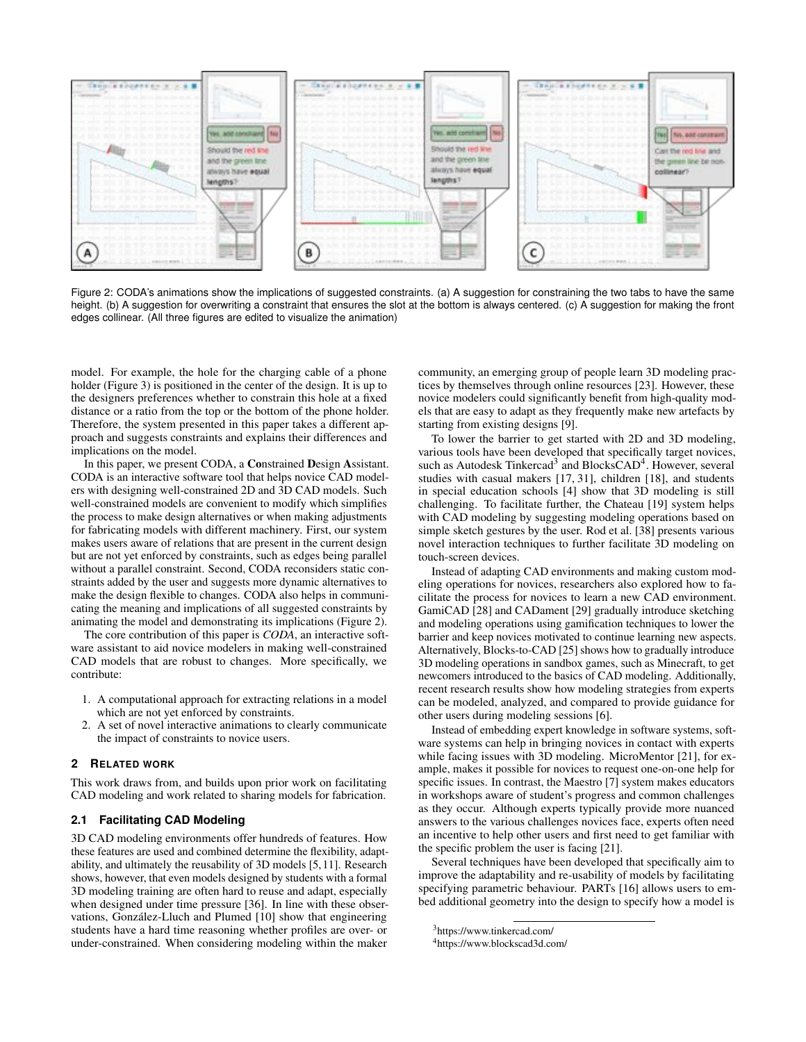

<span id="page-1-0"></span>Figure 2: CODA's animations show the implications of suggested constraints. (a) A suggestion for constraining the two tabs to have the same height. (b) A suggestion for overwriting a constraint that ensures the slot at the bottom is always centered. (c) A suggestion for making the front edges collinear. (All three figures are edited to visualize the animation)

model. For example, the hole for the charging cable of a phone holder (Figure [3\)](#page-3-0) is positioned in the center of the design. It is up to the designers preferences whether to constrain this hole at a fixed distance or a ratio from the top or the bottom of the phone holder. Therefore, the system presented in this paper takes a different approach and suggests constraints and explains their differences and implications on the model.

In this paper, we present CODA, a Constrained Design Assistant. CODA is an interactive software tool that helps novice CAD modelers with designing well-constrained 2D and 3D CAD models. Such well-constrained models are convenient to modify which simplifies the process to make design alternatives or when making adjustments for fabricating models with different machinery. First, our system makes users aware of relations that are present in the current design but are not yet enforced by constraints, such as edges being parallel without a parallel constraint. Second, CODA reconsiders static constraints added by the user and suggests more dynamic alternatives to make the design flexible to changes. CODA also helps in communicating the meaning and implications of all suggested constraints by animating the model and demonstrating its implications (Figure [2\)](#page-1-0).

The core contribution of this paper is *CODA*, an interactive software assistant to aid novice modelers in making well-constrained CAD models that are robust to changes. More specifically, we contribute:

- 1. A computational approach for extracting relations in a model which are not yet enforced by constraints.
- 2. A set of novel interactive animations to clearly communicate the impact of constraints to novice users.

#### **2 RELATED WORK**

This work draws from, and builds upon prior work on facilitating CAD modeling and work related to sharing models for fabrication.

#### **2.1 Facilitating CAD Modeling**

3D CAD modeling environments offer hundreds of features. How these features are used and combined determine the flexibility, adaptability, and ultimately the reusability of 3D models [\[5,](#page-8-8) [11\]](#page-8-9). Research shows, however, that even models designed by students with a formal 3D modeling training are often hard to reuse and adapt, especially when designed under time pressure [\[36\]](#page-9-1). In line with these obser-vations, González-Lluch and Plumed [\[10\]](#page-8-2) show that engineering students have a hard time reasoning whether profiles are over- or under-constrained. When considering modeling within the maker

community, an emerging group of people learn 3D modeling practices by themselves through online resources [\[23\]](#page-8-3). However, these novice modelers could significantly benefit from high-quality models that are easy to adapt as they frequently make new artefacts by starting from existing designs [\[9\]](#page-8-1).

To lower the barrier to get started with 2D and 3D modeling, various tools have been developed that specifically target novices, such as Autodesk Tinkercad<sup>3</sup> and BlocksCAD<sup>4</sup>. However, several studies with casual makers [\[17,](#page-8-10) [31\]](#page-9-4), children [\[18\]](#page-8-11), and students in special education schools [\[4\]](#page-8-12) show that 3D modeling is still challenging. To facilitate further, the Chateau [\[19\]](#page-8-13) system helps with CAD modeling by suggesting modeling operations based on simple sketch gestures by the user. Rod et al. [\[38\]](#page-9-5) presents various novel interaction techniques to further facilitate 3D modeling on touch-screen devices.

Instead of adapting CAD environments and making custom modeling operations for novices, researchers also explored how to facilitate the process for novices to learn a new CAD environment. GamiCAD [\[28\]](#page-9-6) and CADament [\[29\]](#page-9-7) gradually introduce sketching and modeling operations using gamification techniques to lower the barrier and keep novices motivated to continue learning new aspects. Alternatively, Blocks-to-CAD [\[25\]](#page-9-8) shows how to gradually introduce 3D modeling operations in sandbox games, such as Minecraft, to get newcomers introduced to the basics of CAD modeling. Additionally, recent research results show how modeling strategies from experts can be modeled, analyzed, and compared to provide guidance for other users during modeling sessions [\[6\]](#page-8-14).

Instead of embedding expert knowledge in software systems, software systems can help in bringing novices in contact with experts while facing issues with 3D modeling. MicroMentor [\[21\]](#page-8-15), for example, makes it possible for novices to request one-on-one help for specific issues. In contrast, the Maestro [\[7\]](#page-8-16) system makes educators in workshops aware of student's progress and common challenges as they occur. Although experts typically provide more nuanced answers to the various challenges novices face, experts often need an incentive to help other users and first need to get familiar with the specific problem the user is facing [\[21\]](#page-8-15).

Several techniques have been developed that specifically aim to improve the adaptability and re-usability of models by facilitating specifying parametric behaviour. PARTs [\[16\]](#page-8-17) allows users to embed additional geometry into the design to specify how a model is

<sup>3</sup>https://www.tinkercad.com/

<span id="page-1-2"></span><span id="page-1-1"></span><sup>4</sup>https://www.blockscad3d.com/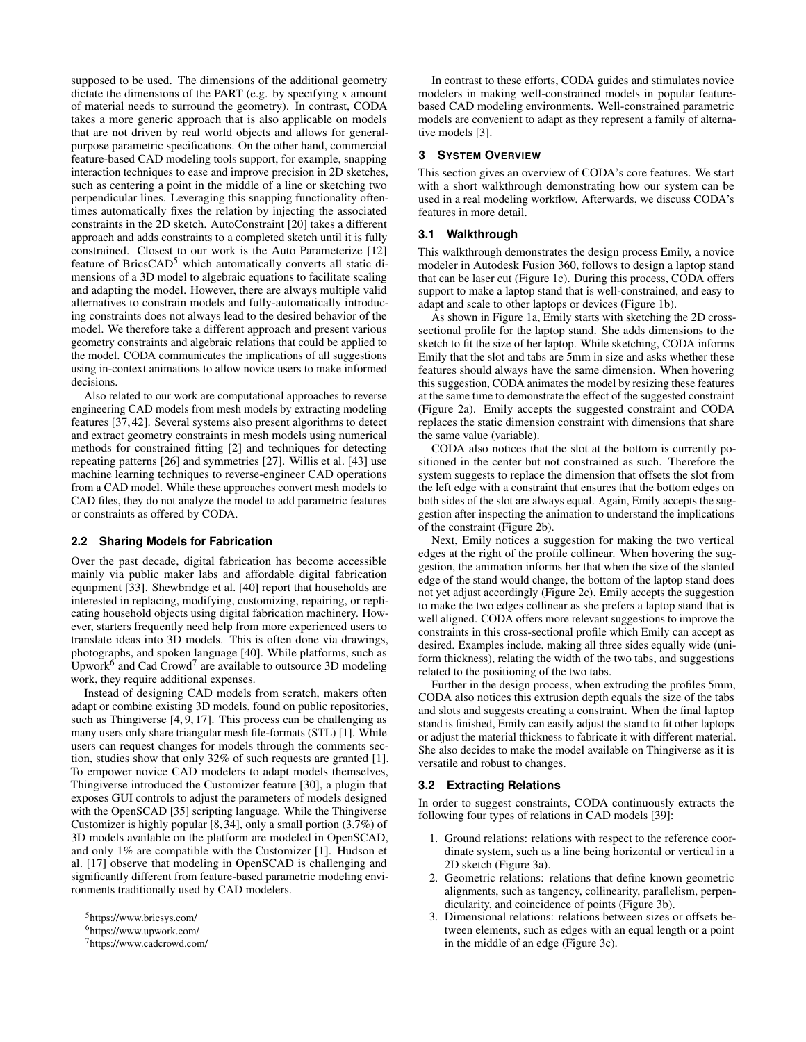supposed to be used. The dimensions of the additional geometry dictate the dimensions of the PART (e.g. by specifying x amount of material needs to surround the geometry). In contrast, CODA takes a more generic approach that is also applicable on models that are not driven by real world objects and allows for generalpurpose parametric specifications. On the other hand, commercial feature-based CAD modeling tools support, for example, snapping interaction techniques to ease and improve precision in 2D sketches, such as centering a point in the middle of a line or sketching two perpendicular lines. Leveraging this snapping functionality oftentimes automatically fixes the relation by injecting the associated constraints in the 2D sketch. AutoConstraint [\[20\]](#page-8-6) takes a different approach and adds constraints to a completed sketch until it is fully constrained. Closest to our work is the Auto Parameterize [\[12\]](#page-8-7) feature of BricsCAD<sup>5</sup> which automatically converts all static dimensions of a 3D model to algebraic equations to facilitate scaling and adapting the model. However, there are always multiple valid alternatives to constrain models and fully-automatically introducing constraints does not always lead to the desired behavior of the model. We therefore take a different approach and present various geometry constraints and algebraic relations that could be applied to the model. CODA communicates the implications of all suggestions using in-context animations to allow novice users to make informed decisions.

Also related to our work are computational approaches to reverse engineering CAD models from mesh models by extracting modeling features [\[37,](#page-9-9) [42\]](#page-9-10). Several systems also present algorithms to detect and extract geometry constraints in mesh models using numerical methods for constrained fitting [\[2\]](#page-8-18) and techniques for detecting repeating patterns [\[26\]](#page-9-11) and symmetries [\[27\]](#page-9-12). Willis et al. [\[43\]](#page-9-13) use machine learning techniques to reverse-engineer CAD operations from a CAD model. While these approaches convert mesh models to CAD files, they do not analyze the model to add parametric features or constraints as offered by CODA.

## **2.2 Sharing Models for Fabrication**

Over the past decade, digital fabrication has become accessible mainly via public maker labs and affordable digital fabrication equipment [\[33\]](#page-9-14). Shewbridge et al. [\[40\]](#page-9-15) report that households are interested in replacing, modifying, customizing, repairing, or replicating household objects using digital fabrication machinery. However, starters frequently need help from more experienced users to translate ideas into 3D models. This is often done via drawings, photographs, and spoken language [\[40\]](#page-9-15). While platforms, such as Upwork $^6$  $^6$  and Cad Crowd<sup>7</sup> are available to outsource 3D modeling work, they require additional expenses.

Instead of designing CAD models from scratch, makers often adapt or combine existing 3D models, found on public repositories, such as Thingiverse [\[4,](#page-8-12) [9,](#page-8-1) [17\]](#page-8-10). This process can be challenging as many users only share triangular mesh file-formats (STL) [\[1\]](#page-8-5). While users can request changes for models through the comments section, studies show that only 32% of such requests are granted [\[1\]](#page-8-5). To empower novice CAD modelers to adapt models themselves, Thingiverse introduced the Customizer feature [\[30\]](#page-9-2), a plugin that exposes GUI controls to adjust the parameters of models designed with the OpenSCAD [\[35\]](#page-9-3) scripting language. While the Thingiverse Customizer is highly popular [\[8,](#page-8-0) [34\]](#page-9-0), only a small portion (3.7%) of 3D models available on the platform are modeled in OpenSCAD, and only 1% are compatible with the Customizer [\[1\]](#page-8-5). Hudson et al. [\[17\]](#page-8-10) observe that modeling in OpenSCAD is challenging and significantly different from feature-based parametric modeling environments traditionally used by CAD modelers.

In contrast to these efforts, CODA guides and stimulates novice modelers in making well-constrained models in popular featurebased CAD modeling environments. Well-constrained parametric models are convenient to adapt as they represent a family of alternative models [\[3\]](#page-8-19).

#### **3 SYSTEM OVERVIEW**

This section gives an overview of CODA's core features. We start with a short walkthrough demonstrating how our system can be used in a real modeling workflow. Afterwards, we discuss CODA's features in more detail.

### **3.1 Walkthrough**

This walkthrough demonstrates the design process Emily, a novice modeler in Autodesk Fusion 360, follows to design a laptop stand that can be laser cut (Figure [1c](#page-0-0)). During this process, CODA offers support to make a laptop stand that is well-constrained, and easy to adapt and scale to other laptops or devices (Figure [1b](#page-0-0)).

As shown in Figure [1a](#page-0-0), Emily starts with sketching the 2D crosssectional profile for the laptop stand. She adds dimensions to the sketch to fit the size of her laptop. While sketching, CODA informs Emily that the slot and tabs are 5mm in size and asks whether these features should always have the same dimension. When hovering this suggestion, CODA animates the model by resizing these features at the same time to demonstrate the effect of the suggested constraint (Figure [2a](#page-1-0)). Emily accepts the suggested constraint and CODA replaces the static dimension constraint with dimensions that share the same value (variable).

CODA also notices that the slot at the bottom is currently positioned in the center but not constrained as such. Therefore the system suggests to replace the dimension that offsets the slot from the left edge with a constraint that ensures that the bottom edges on both sides of the slot are always equal. Again, Emily accepts the suggestion after inspecting the animation to understand the implications of the constraint (Figure [2b](#page-1-0)).

Next, Emily notices a suggestion for making the two vertical edges at the right of the profile collinear. When hovering the suggestion, the animation informs her that when the size of the slanted edge of the stand would change, the bottom of the laptop stand does not yet adjust accordingly (Figure [2c](#page-1-0)). Emily accepts the suggestion to make the two edges collinear as she prefers a laptop stand that is well aligned. CODA offers more relevant suggestions to improve the constraints in this cross-sectional profile which Emily can accept as desired. Examples include, making all three sides equally wide (uniform thickness), relating the width of the two tabs, and suggestions related to the positioning of the two tabs.

Further in the design process, when extruding the profiles 5mm, CODA also notices this extrusion depth equals the size of the tabs and slots and suggests creating a constraint. When the final laptop stand is finished, Emily can easily adjust the stand to fit other laptops or adjust the material thickness to fabricate it with different material. She also decides to make the model available on Thingiverse as it is versatile and robust to changes.

#### **3.2 Extracting Relations**

In order to suggest constraints, CODA continuously extracts the following four types of relations in CAD models [\[39\]](#page-9-16):

- 1. Ground relations: relations with respect to the reference coordinate system, such as a line being horizontal or vertical in a 2D sketch (Figure [3a](#page-3-0)).
- 2. Geometric relations: relations that define known geometric alignments, such as tangency, collinearity, parallelism, perpendicularity, and coincidence of points (Figure [3b](#page-3-0)).
- 3. Dimensional relations: relations between sizes or offsets between elements, such as edges with an equal length or a point in the middle of an edge (Figure [3c](#page-3-0)).

<sup>5</sup>https://www.bricsys.com/

<span id="page-2-0"></span><sup>6</sup>https://www.upwork.com/

<span id="page-2-2"></span><span id="page-2-1"></span><sup>7</sup>https://www.cadcrowd.com/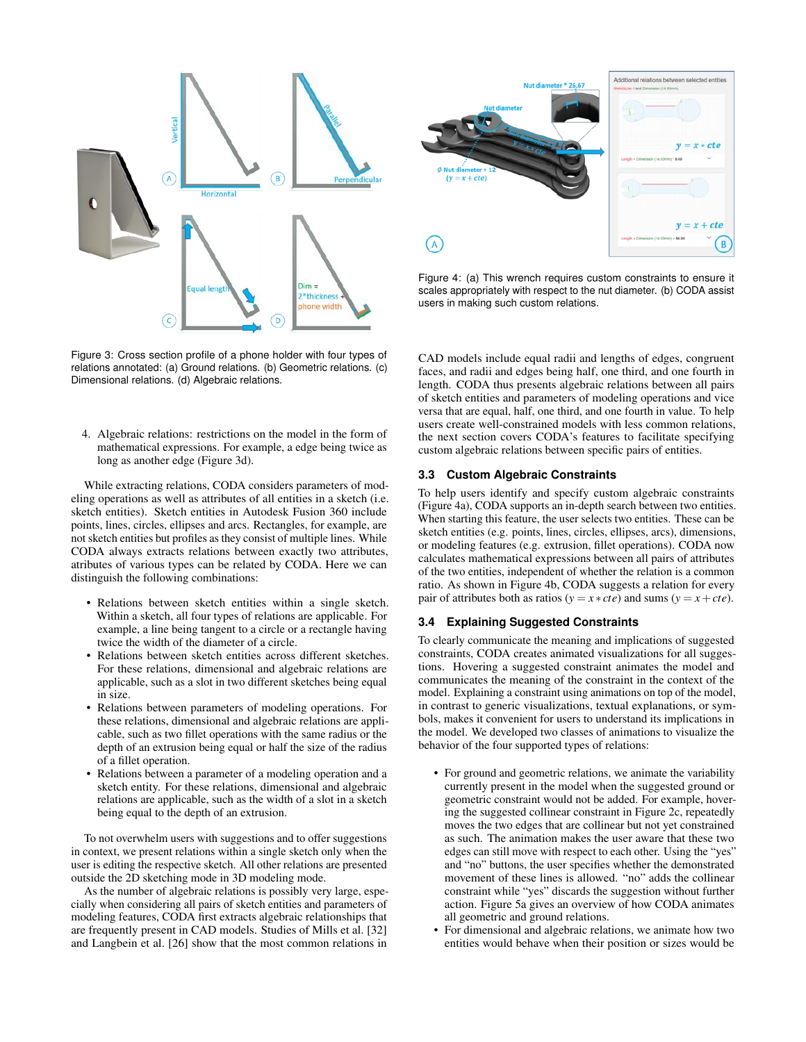

<span id="page-3-0"></span>Figure 3: Cross section profile of a phone holder with four types of relations annotated: (a) Ground relations. (b) Geometric relations. (c) Dimensional relations. (d) Algebraic relations.

4. Algebraic relations: restrictions on the model in the form of mathematical expressions. For example, a edge being twice as long as another edge (Figure [3d](#page-3-0)).

While extracting relations, CODA considers parameters of modeling operations as well as attributes of all entities in a sketch (i.e. sketch entities). Sketch entities in Autodesk Fusion 360 include points, lines, circles, ellipses and arcs. Rectangles, for example, are not sketch entities but profiles as they consist of multiple lines. While CODA always extracts relations between exactly two attributes, atributes of various types can be related by CODA. Here we can distinguish the following combinations:

- Relations between sketch entities within a single sketch. Within a sketch, all four types of relations are applicable. For example, a line being tangent to a circle or a rectangle having twice the width of the diameter of a circle.
- Relations between sketch entities across different sketches. For these relations, dimensional and algebraic relations are applicable, such as a slot in two different sketches being equal in size.
- Relations between parameters of modeling operations. For these relations, dimensional and algebraic relations are applicable, such as two fillet operations with the same radius or the depth of an extrusion being equal or half the size of the radius of a fillet operation.
- Relations between a parameter of a modeling operation and a sketch entity. For these relations, dimensional and algebraic relations are applicable, such as the width of a slot in a sketch being equal to the depth of an extrusion.

To not overwhelm users with suggestions and to offer suggestions in context, we present relations within a single sketch only when the user is editing the respective sketch. All other relations are presented outside the 2D sketching mode in 3D modeling mode.

As the number of algebraic relations is possibly very large, especially when considering all pairs of sketch entities and parameters of modeling features, CODA first extracts algebraic relationships that are frequently present in CAD models. Studies of Mills et al. [\[32\]](#page-9-17) and Langbein et al. [\[26\]](#page-9-11) show that the most common relations in



<span id="page-3-1"></span>Figure 4: (a) This wrench requires custom constraints to ensure it scales appropriately with respect to the nut diameter. (b) CODA assist users in making such custom relations.

CAD models include equal radii and lengths of edges, congruent faces, and radii and edges being half, one third, and one fourth in length. CODA thus presents algebraic relations between all pairs of sketch entities and parameters of modeling operations and vice versa that are equal, half, one third, and one fourth in value. To help users create well-constrained models with less common relations, the next section covers CODA's features to facilitate specifying custom algebraic relations between specific pairs of entities.

## **3.3 Custom Algebraic Constraints**

To help users identify and specify custom algebraic constraints (Figure [4a](#page-3-1)), CODA supports an in-depth search between two entities. When starting this feature, the user selects two entities. These can be sketch entities (e.g. points, lines, circles, ellipses, arcs), dimensions, or modeling features (e.g. extrusion, fillet operations). CODA now calculates mathematical expressions between all pairs of attributes of the two entities, independent of whether the relation is a common ratio. As shown in Figure [4b](#page-3-1), CODA suggests a relation for every pair of attributes both as ratios ( $y = x * cte$ ) and sums ( $y = x + cte$ ).

# **3.4 Explaining Suggested Constraints**

To clearly communicate the meaning and implications of suggested constraints, CODA creates animated visualizations for all suggestions. Hovering a suggested constraint animates the model and communicates the meaning of the constraint in the context of the model. Explaining a constraint using animations on top of the model, in contrast to generic visualizations, textual explanations, or symbols, makes it convenient for users to understand its implications in the model. We developed two classes of animations to visualize the behavior of the four supported types of relations:

- For ground and geometric relations, we animate the variability currently present in the model when the suggested ground or geometric constraint would not be added. For example, hovering the suggested collinear constraint in Figure [2c](#page-1-0), repeatedly moves the two edges that are collinear but not yet constrained as such. The animation makes the user aware that these two edges can still move with respect to each other. Using the "yes" and "no" buttons, the user specifies whether the demonstrated movement of these lines is allowed. "no" adds the collinear constraint while "yes" discards the suggestion without further action. Figure [5a](#page-4-0) gives an overview of how CODA animates all geometric and ground relations.
- For dimensional and algebraic relations, we animate how two entities would behave when their position or sizes would be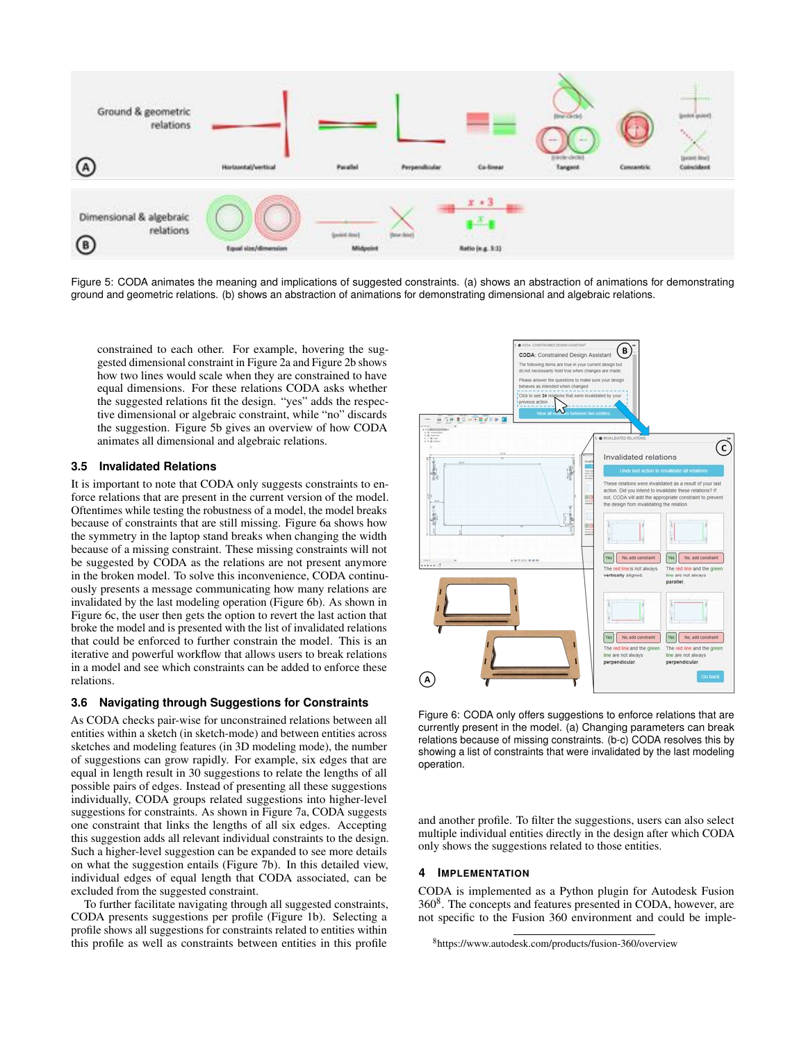

<span id="page-4-0"></span>Figure 5: CODA animates the meaning and implications of suggested constraints. (a) shows an abstraction of animations for demonstrating ground and geometric relations. (b) shows an abstraction of animations for demonstrating dimensional and algebraic relations.

constrained to each other. For example, hovering the suggested dimensional constraint in Figure [2a](#page-1-0) and Figure [2b](#page-1-0) shows how two lines would scale when they are constrained to have equal dimensions. For these relations CODA asks whether the suggested relations fit the design. "yes" adds the respective dimensional or algebraic constraint, while "no" discards the suggestion. Figure [5b](#page-4-0) gives an overview of how CODA animates all dimensional and algebraic relations.

### **3.5 Invalidated Relations**

It is important to note that CODA only suggests constraints to enforce relations that are present in the current version of the model. Oftentimes while testing the robustness of a model, the model breaks because of constraints that are still missing. Figure [6a](#page-4-1) shows how the symmetry in the laptop stand breaks when changing the width because of a missing constraint. These missing constraints will not be suggested by CODA as the relations are not present anymore in the broken model. To solve this inconvenience, CODA continuously presents a message communicating how many relations are invalidated by the last modeling operation (Figure [6b](#page-4-1)). As shown in Figure [6c](#page-4-1), the user then gets the option to revert the last action that broke the model and is presented with the list of invalidated relations that could be enforced to further constrain the model. This is an iterative and powerful workflow that allows users to break relations in a model and see which constraints can be added to enforce these relations.

#### <span id="page-4-3"></span>**3.6 Navigating through Suggestions for Constraints**

As CODA checks pair-wise for unconstrained relations between all entities within a sketch (in sketch-mode) and between entities across sketches and modeling features (in 3D modeling mode), the number of suggestions can grow rapidly. For example, six edges that are equal in length result in 30 suggestions to relate the lengths of all possible pairs of edges. Instead of presenting all these suggestions individually, CODA groups related suggestions into higher-level suggestions for constraints. As shown in Figure [7a](#page-5-0), CODA suggests one constraint that links the lengths of all six edges. Accepting this suggestion adds all relevant individual constraints to the design. Such a higher-level suggestion can be expanded to see more details on what the suggestion entails (Figure [7b](#page-5-0)). In this detailed view, individual edges of equal length that CODA associated, can be excluded from the suggested constraint.

To further facilitate navigating through all suggested constraints, CODA presents suggestions per profile (Figure [1b](#page-0-0)). Selecting a profile shows all suggestions for constraints related to entities within this profile as well as constraints between entities in this profile



<span id="page-4-1"></span>Figure 6: CODA only offers suggestions to enforce relations that are currently present in the model. (a) Changing parameters can break relations because of missing constraints. (b-c) CODA resolves this by showing a list of constraints that were invalidated by the last modeling operation.

and another profile. To filter the suggestions, users can also select multiple individual entities directly in the design after which CODA only shows the suggestions related to those entities.

# **4 IMPLEMENTATION**

CODA is implemented as a Python plugin for Autodesk Fusion 36[08.](#page-4-2) The concepts and features presented in CODA, however, are not specific to the Fusion 360 environment and could be imple-

<span id="page-4-2"></span><sup>8</sup>https://www.autodesk.com/products/fusion-360/overview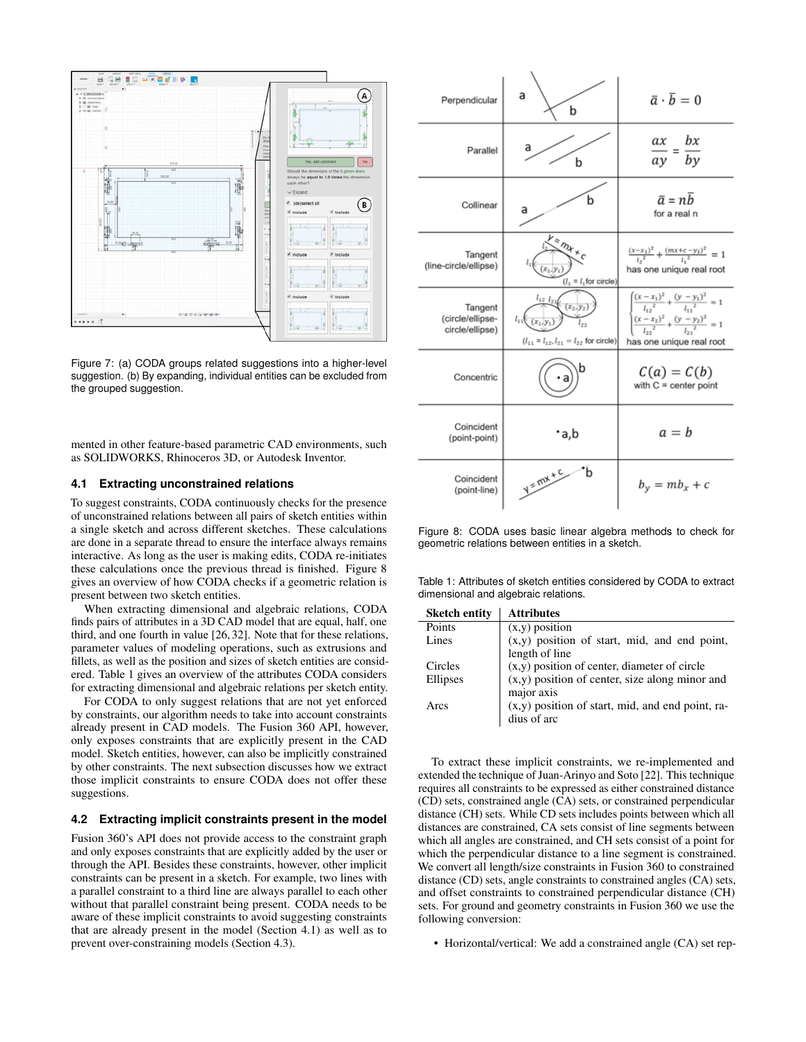

<span id="page-5-0"></span>Figure 7: (a) CODA groups related suggestions into a higher-level suggestion. (b) By expanding, individual entities can be excluded from the grouped suggestion.

mented in other feature-based parametric CAD environments, such as SOLIDWORKS, Rhinoceros 3D, or Autodesk Inventor.

# <span id="page-5-3"></span>**4.1 Extracting unconstrained relations**

To suggest constraints, CODA continuously checks for the presence of unconstrained relations between all pairs of sketch entities within a single sketch and across different sketches. These calculations are done in a separate thread to ensure the interface always remains interactive. As long as the user is making edits, CODA re-initiates these calculations once the previous thread is finished. Figure [8](#page-5-1) gives an overview of how CODA checks if a geometric relation is present between two sketch entities.

When extracting dimensional and algebraic relations, CODA finds pairs of attributes in a 3D CAD model that are equal, half, one third, and one fourth in value [\[26,](#page-9-11) [32\]](#page-9-17). Note that for these relations, parameter values of modeling operations, such as extrusions and fillets, as well as the position and sizes of sketch entities are considered. Table [1](#page-5-2) gives an overview of the attributes CODA considers for extracting dimensional and algebraic relations per sketch entity.

For CODA to only suggest relations that are not yet enforced by constraints, our algorithm needs to take into account constraints already present in CAD models. The Fusion 360 API, however, only exposes constraints that are explicitly present in the CAD model. Sketch entities, however, can also be implicitly constrained by other constraints. The next subsection discusses how we extract those implicit constraints to ensure CODA does not offer these suggestions.

# <span id="page-5-4"></span>**4.2 Extracting implicit constraints present in the model**

Fusion 360's API does not provide access to the constraint graph and only exposes constraints that are explicitly added by the user or through the API. Besides these constraints, however, other implicit constraints can be present in a sketch. For example, two lines with a parallel constraint to a third line are always parallel to each other without that parallel constraint being present. CODA needs to be aware of these implicit constraints to avoid suggesting constraints that are already present in the model (Section [4.1\)](#page-5-3) as well as to prevent over-constraining models (Section [4.3\)](#page-6-0).



<span id="page-5-1"></span>Figure 8: CODA uses basic linear algebra methods to check for geometric relations between entities in a sketch.

<span id="page-5-2"></span>Table 1: Attributes of sketch entities considered by CODA to extract dimensional and algebraic relations.

| <b>Sketch entity</b> | <b>Attributes</b>                                  |
|----------------------|----------------------------------------------------|
| Points               | $(x,y)$ position                                   |
| Lines                | $(x,y)$ position of start, mid, and end point,     |
|                      | length of line                                     |
| Circles              | $(x,y)$ position of center, diameter of circle     |
| Ellipses             | $(x,y)$ position of center, size along minor and   |
|                      | major axis                                         |
| Arcs                 | $(x,y)$ position of start, mid, and end point, ra- |
|                      | dius of arc                                        |
|                      |                                                    |

To extract these implicit constraints, we re-implemented and extended the technique of Juan-Arinyo and Soto [\[22\]](#page-8-20). This technique requires all constraints to be expressed as either constrained distance (CD) sets, constrained angle (CA) sets, or constrained perpendicular distance (CH) sets. While CD sets includes points between which all distances are constrained, CA sets consist of line segments between which all angles are constrained, and CH sets consist of a point for which the perpendicular distance to a line segment is constrained. We convert all length/size constraints in Fusion 360 to constrained distance (CD) sets, angle constraints to constrained angles (CA) sets, and offset constraints to constrained perpendicular distance (CH) sets. For ground and geometry constraints in Fusion 360 we use the following conversion:

• Horizontal/vertical: We add a constrained angle  $(CA)$  set rep-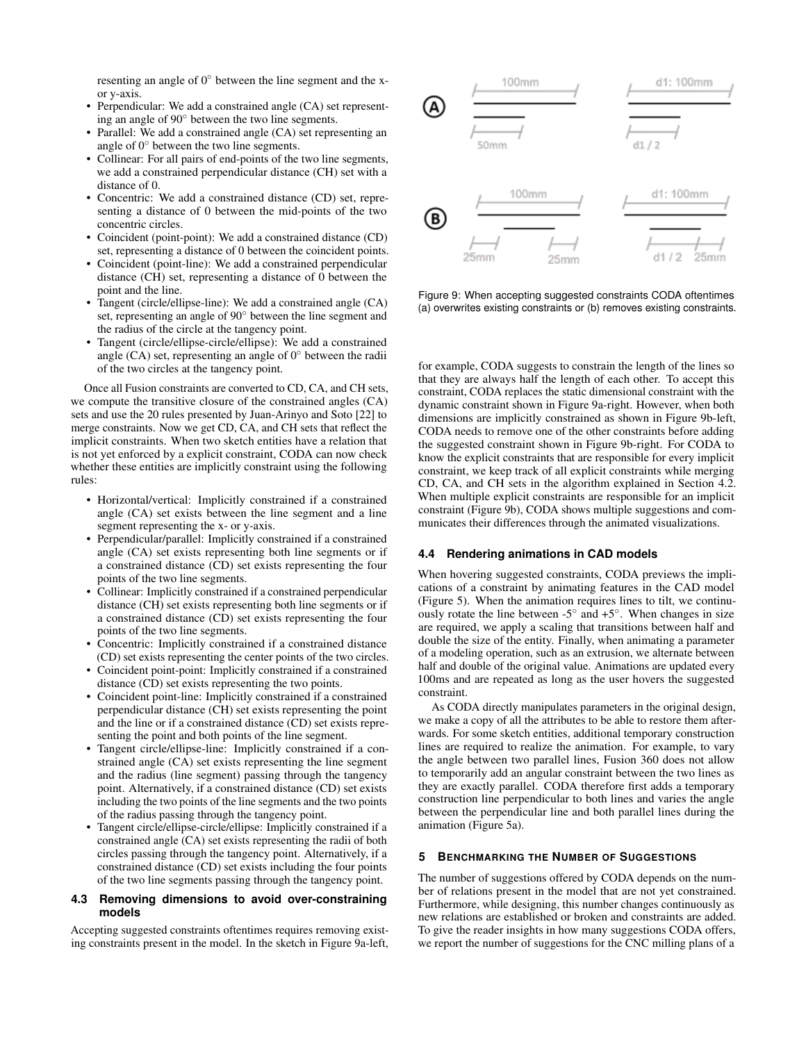resenting an angle of  $0^{\circ}$  between the line segment and the xor y-axis.

- Perpendicular: We add a constrained angle (CA) set representing an angle of 90° between the two line segments.
- Parallel: We add a constrained angle (CA) set representing an angle of  $0^{\circ}$  between the two line segments.
- Collinear: For all pairs of end-points of the two line segments, we add a constrained perpendicular distance (CH) set with a distance of 0.
- Concentric: We add a constrained distance (CD) set, representing a distance of 0 between the mid-points of the two concentric circles.
- Coincident (point-point): We add a constrained distance (CD) set, representing a distance of 0 between the coincident points.
- Coincident (point-line): We add a constrained perpendicular distance (CH) set, representing a distance of 0 between the point and the line.
- Tangent (circle/ellipse-line): We add a constrained angle (CA) set, representing an angle of 90 $^{\circ}$  between the line segment and the radius of the circle at the tangency point.
- Tangent (circle/ellipse-circle/ellipse): We add a constrained angle (CA) set, representing an angle of  $0^\circ$  between the radii of the two circles at the tangency point.

Once all Fusion constraints are converted to CD, CA, and CH sets, we compute the transitive closure of the constrained angles (CA) sets and use the 20 rules presented by Juan-Arinyo and Soto [\[22\]](#page-8-20) to merge constraints. Now we get CD, CA, and CH sets that reflect the implicit constraints. When two sketch entities have a relation that is not yet enforced by a explicit constraint, CODA can now check whether these entities are implicitly constraint using the following rules:

- Horizontal/vertical: Implicitly constrained if a constrained angle (CA) set exists between the line segment and a line segment representing the x- or y-axis.
- Perpendicular/parallel: Implicitly constrained if a constrained angle (CA) set exists representing both line segments or if a constrained distance (CD) set exists representing the four points of the two line segments.
- Collinear: Implicitly constrained if a constrained perpendicular distance (CH) set exists representing both line segments or if a constrained distance (CD) set exists representing the four points of the two line segments.
- Concentric: Implicitly constrained if a constrained distance (CD) set exists representing the center points of the two circles.
- Coincident point-point: Implicitly constrained if a constrained distance (CD) set exists representing the two points.
- Coincident point-line: Implicitly constrained if a constrained perpendicular distance (CH) set exists representing the point and the line or if a constrained distance (CD) set exists representing the point and both points of the line segment.
- Tangent circle/ellipse-line: Implicitly constrained if a constrained angle (CA) set exists representing the line segment and the radius (line segment) passing through the tangency point. Alternatively, if a constrained distance (CD) set exists including the two points of the line segments and the two points of the radius passing through the tangency point.
- Tangent circle/ellipse-circle/ellipse: Implicitly constrained if a constrained angle (CA) set exists representing the radii of both circles passing through the tangency point. Alternatively, if a constrained distance (CD) set exists including the four points of the two line segments passing through the tangency point.

#### <span id="page-6-0"></span>**4.3 Removing dimensions to avoid over-constraining models**

Accepting suggested constraints oftentimes requires removing existing constraints present in the model. In the sketch in Figure [9a](#page-6-1)-left,



<span id="page-6-1"></span>Figure 9: When accepting suggested constraints CODA oftentimes (a) overwrites existing constraints or (b) removes existing constraints.

for example, CODA suggests to constrain the length of the lines so that they are always half the length of each other. To accept this constraint, CODA replaces the static dimensional constraint with the dynamic constraint shown in Figure [9a](#page-6-1)-right. However, when both dimensions are implicitly constrained as shown in Figure [9b](#page-6-1)-left, CODA needs to remove one of the other constraints before adding the suggested constraint shown in Figure [9b](#page-6-1)-right. For CODA to know the explicit constraints that are responsible for every implicit constraint, we keep track of all explicit constraints while merging CD, CA, and CH sets in the algorithm explained in Section [4.2.](#page-5-4) When multiple explicit constraints are responsible for an implicit constraint (Figure [9b](#page-6-1)), CODA shows multiple suggestions and communicates their differences through the animated visualizations.

# **4.4 Rendering animations in CAD models**

When hovering suggested constraints, CODA previews the implications of a constraint by animating features in the CAD model (Figure [5\)](#page-4-0). When the animation requires lines to tilt, we continuously rotate the line between  $-5^{\circ}$  and  $+5^{\circ}$ . When changes in size are required, we apply a scaling that transitions between half and double the size of the entity. Finally, when animating a parameter of a modeling operation, such as an extrusion, we alternate between half and double of the original value. Animations are updated every 100ms and are repeated as long as the user hovers the suggested constraint.

As CODA directly manipulates parameters in the original design, we make a copy of all the attributes to be able to restore them afterwards. For some sketch entities, additional temporary construction lines are required to realize the animation. For example, to vary the angle between two parallel lines, Fusion 360 does not allow to temporarily add an angular constraint between the two lines as they are exactly parallel. CODA therefore first adds a temporary construction line perpendicular to both lines and varies the angle between the perpendicular line and both parallel lines during the animation (Figure [5a](#page-4-0)).

#### **5 BENCHMARKING THE NUMBER OF SUGGESTIONS**

The number of suggestions offered by CODA depends on the number of relations present in the model that are not yet constrained. Furthermore, while designing, this number changes continuously as new relations are established or broken and constraints are added. To give the reader insights in how many suggestions CODA offers, we report the number of suggestions for the CNC milling plans of a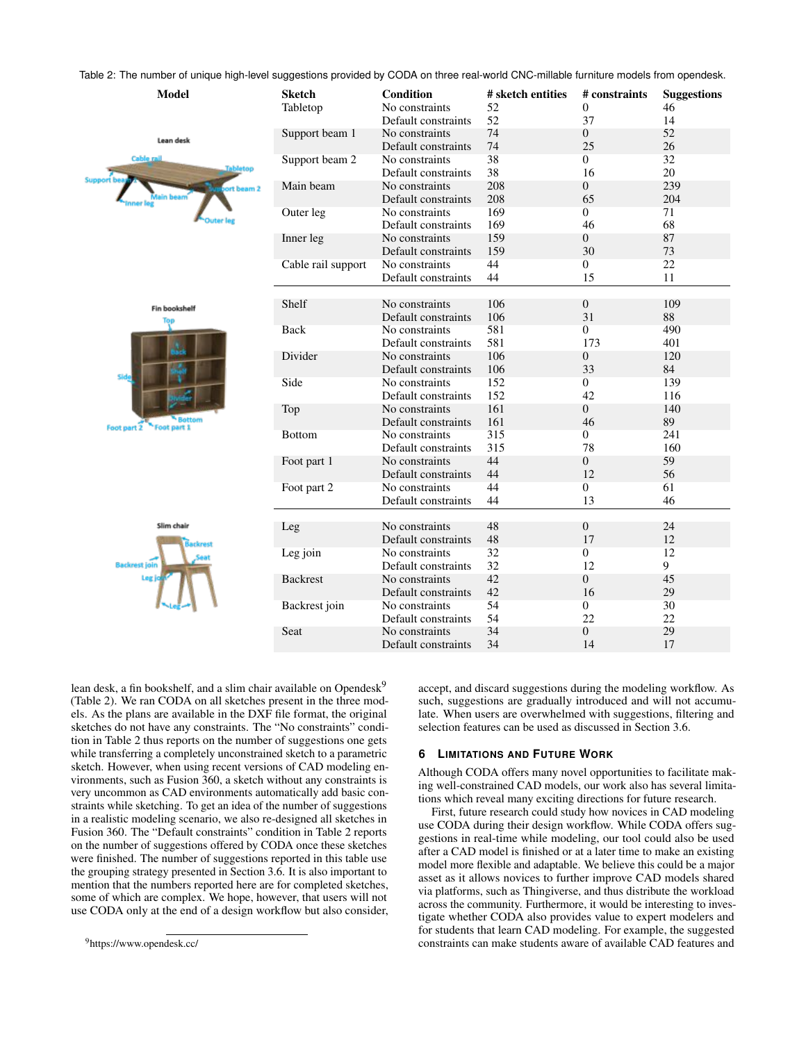Table 2: The number of unique high-level suggestions provided by CODA on three real-world CNC-millable furniture models from opendesk.

<span id="page-7-1"></span>

| <b>Model</b>                                                   | <b>Sketch</b><br>Tabletop | Condition<br>No constraints           | # sketch entities<br>52 | # constraints<br>$\overline{0}$ | <b>Suggestions</b><br>46 |
|----------------------------------------------------------------|---------------------------|---------------------------------------|-------------------------|---------------------------------|--------------------------|
|                                                                |                           | Default constraints<br>No constraints | 52<br>74                | 37<br>$\boldsymbol{0}$          | 14<br>52                 |
| Lean desk                                                      | Support beam 1            | Default constraints                   | 74                      | 25                              | 26                       |
| <b>Cable rail</b><br><b>Tabletop</b><br>Support be<br>t beam 2 | Support beam 2            | No constraints<br>Default constraints | 38<br>38                | $\overline{0}$<br>16            | 32<br>20                 |
|                                                                | Main beam                 | No constraints<br>Default constraints | 208<br>208              | $\boldsymbol{0}$<br>65          | 239<br>204               |
|                                                                | Outer leg                 | No constraints<br>Default constraints | 169<br>169              | $\overline{0}$<br>46            | 71<br>68                 |
|                                                                | Inner leg                 | No constraints<br>Default constraints | 159<br>159              | $\boldsymbol{0}$<br>30          | 87<br>73                 |
|                                                                | Cable rail support        | No constraints<br>Default constraints | 44<br>44                | $\overline{0}$<br>15            | 22<br>11                 |
|                                                                | Shelf                     | No constraints                        | 106                     | $\overline{0}$                  | 109                      |
| <b>Fin bookshelf</b>                                           |                           | Default constraints                   | 106                     | 31                              | 88                       |
| Side                                                           | Back                      | No constraints                        | 581                     | $\boldsymbol{0}$                | 490                      |
|                                                                |                           | Default constraints                   | 581                     | 173                             | 401                      |
|                                                                | Divider                   | No constraints                        | 106                     | $\boldsymbol{0}$                | 120                      |
|                                                                |                           | Default constraints                   | 106                     | 33                              | 84                       |
|                                                                | Side                      | No constraints                        | 152                     | $\overline{0}$                  | 139                      |
|                                                                |                           | Default constraints                   | 152                     | 42                              | 116                      |
|                                                                | Top                       | No constraints                        | 161                     | $\overline{0}$                  | 140                      |
| <b>Battom</b><br>Foot part 1<br>Foot part 2                    |                           | Default constraints                   | 161                     | 46                              | 89                       |
|                                                                | Bottom                    | No constraints                        | 315                     | $\mathbf{0}$                    | 241                      |
|                                                                |                           | Default constraints                   | 315                     | 78                              | 160                      |
|                                                                | Foot part 1               | No constraints                        | 44                      | $\boldsymbol{0}$                | 59                       |
|                                                                |                           | Default constraints                   | 44                      | 12                              | 56                       |
|                                                                | Foot part 2               | No constraints<br>Default constraints | 44<br>44                | $\overline{0}$<br>13            | 61<br>46                 |
|                                                                |                           |                                       |                         |                                 |                          |
| Slim chair                                                     | Leg                       | No constraints                        | 48                      | $\boldsymbol{0}$                | 24                       |
|                                                                |                           | Default constraints                   | 48                      | 17                              | 12                       |
|                                                                | Leg join                  | No constraints                        | 32                      | $\overline{0}$                  | 12                       |
| <b>Backrest join</b>                                           |                           | Default constraints                   | 32                      | 12                              | 9                        |
| Leg.                                                           | <b>Backrest</b>           | No constraints                        | 42                      | $\overline{0}$                  | 45                       |
|                                                                |                           | Default constraints                   | 42                      | 16                              | 29                       |
|                                                                | Backrest join             | No constraints                        | 54                      | $\boldsymbol{0}$                | 30                       |
|                                                                |                           | Default constraints                   | 54                      | 22                              | 22                       |
|                                                                | Seat                      | No constraints                        | 34                      | $\boldsymbol{0}$                | 29                       |
|                                                                |                           | Default constraints                   | 34                      | 14                              | 17                       |

lean desk, a fin bookshelf, and a slim chair available on Opendesk<sup>9</sup> (Table [2\)](#page-7-1). We ran CODA on all sketches present in the three models. As the plans are available in the DXF file format, the original sketches do not have any constraints. The "No constraints" condition in Table [2](#page-7-1) thus reports on the number of suggestions one gets while transferring a completely unconstrained sketch to a parametric sketch. However, when using recent versions of CAD modeling environments, such as Fusion 360, a sketch without any constraints is very uncommon as CAD environments automatically add basic constraints while sketching. To get an idea of the number of suggestions in a realistic modeling scenario, we also re-designed all sketches in Fusion 360. The "Default constraints" condition in Table [2](#page-7-1) reports on the number of suggestions offered by CODA once these sketches were finished. The number of suggestions reported in this table use the grouping strategy presented in Section [3.6.](#page-4-3) It is also important to mention that the numbers reported here are for completed sketches, some of which are complex. We hope, however, that users will not use CODA only at the end of a design workflow but also consider,

accept, and discard suggestions during the modeling workflow. As such, suggestions are gradually introduced and will not accumulate. When users are overwhelmed with suggestions, filtering and selection features can be used as discussed in Section [3.6.](#page-4-3)

#### **6 LIMITATIONS AND FUTURE WORK**

Although CODA offers many novel opportunities to facilitate making well-constrained CAD models, our work also has several limitations which reveal many exciting directions for future research.

First, future research could study how novices in CAD modeling use CODA during their design workflow. While CODA offers suggestions in real-time while modeling, our tool could also be used after a CAD model is finished or at a later time to make an existing model more flexible and adaptable. We believe this could be a major asset as it allows novices to further improve CAD models shared via platforms, such as Thingiverse, and thus distribute the workload across the community. Furthermore, it would be interesting to investigate whether CODA also provides value to expert modelers and for students that learn CAD modeling. For example, the suggested constraints can make students aware of available CAD features and

<span id="page-7-0"></span><sup>9</sup>https://www.opendesk.cc/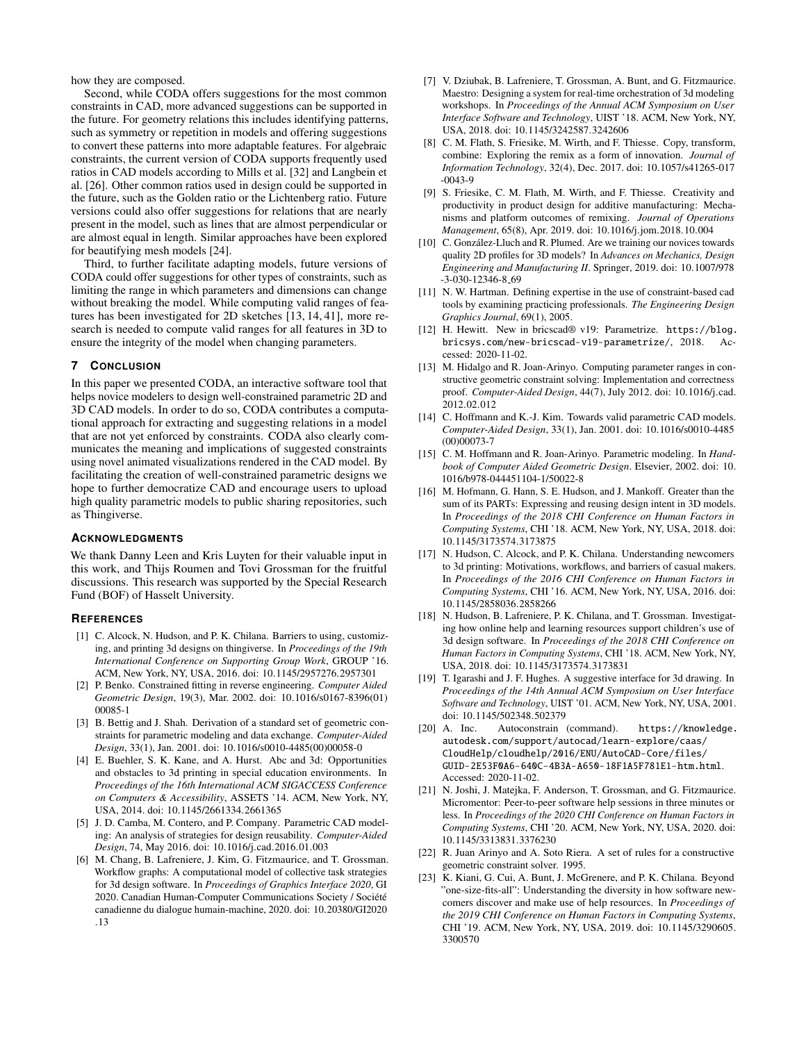how they are composed.

Second, while CODA offers suggestions for the most common constraints in CAD, more advanced suggestions can be supported in the future. For geometry relations this includes identifying patterns, such as symmetry or repetition in models and offering suggestions to convert these patterns into more adaptable features. For algebraic constraints, the current version of CODA supports frequently used ratios in CAD models according to Mills et al. [\[32\]](#page-9-17) and Langbein et al. [\[26\]](#page-9-11). Other common ratios used in design could be supported in the future, such as the Golden ratio or the Lichtenberg ratio. Future versions could also offer suggestions for relations that are nearly present in the model, such as lines that are almost perpendicular or are almost equal in length. Similar approaches have been explored for beautifying mesh models [\[24\]](#page-9-18).

Third, to further facilitate adapting models, future versions of CODA could offer suggestions for other types of constraints, such as limiting the range in which parameters and dimensions can change without breaking the model. While computing valid ranges of features has been investigated for 2D sketches [\[13,](#page-8-21) [14,](#page-8-22) [41\]](#page-9-19), more research is needed to compute valid ranges for all features in 3D to ensure the integrity of the model when changing parameters.

#### **7 CONCLUSION**

In this paper we presented CODA, an interactive software tool that helps novice modelers to design well-constrained parametric 2D and 3D CAD models. In order to do so, CODA contributes a computational approach for extracting and suggesting relations in a model that are not yet enforced by constraints. CODA also clearly communicates the meaning and implications of suggested constraints using novel animated visualizations rendered in the CAD model. By facilitating the creation of well-constrained parametric designs we hope to further democratize CAD and encourage users to upload high quality parametric models to public sharing repositories, such as Thingiverse.

#### **ACKNOWLEDGMENTS**

We thank Danny Leen and Kris Luyten for their valuable input in this work, and Thijs Roumen and Tovi Grossman for the fruitful discussions. This research was supported by the Special Research Fund (BOF) of Hasselt University.

#### **REFERENCES**

- <span id="page-8-5"></span>[1] [C. Alcock, N. Hudson, and P. K. Chilana. Barriers to using, customiz](https://doi.org/10.1145/2957276.2957301)[ing, and printing 3d designs on thingiverse.](https://doi.org/10.1145/2957276.2957301) In *[Proceedings of the 19th](https://doi.org/10.1145/2957276.2957301) [International Conference on Supporting Group Work](https://doi.org/10.1145/2957276.2957301)*, [GROUP '16.](https://doi.org/10.1145/2957276.2957301) [ACM, New York, NY, USA, 2016. doi: 10.1145/2957276.2957301](https://doi.org/10.1145/2957276.2957301)
- <span id="page-8-18"></span>[2] [P. Benko. Constrained fitting in reverse engineering.](https://doi.org/10.1016/s0167-8396(01)00085-1) *[Computer Aided](https://doi.org/10.1016/s0167-8396(01)00085-1) [Geometric Design](https://doi.org/10.1016/s0167-8396(01)00085-1)*, [19\(3\), Mar. 2002. doi: 10.1016/s0167-8396\(01\)](https://doi.org/10.1016/s0167-8396(01)00085-1) [00085-1](https://doi.org/10.1016/s0167-8396(01)00085-1)
- <span id="page-8-19"></span>[3] [B. Bettig and J. Shah. Derivation of a standard set of geometric con](https://doi.org/10.1016/s0010-4485(00)00058-0)[straints for parametric modeling and data exchange.](https://doi.org/10.1016/s0010-4485(00)00058-0) *[Computer-Aided](https://doi.org/10.1016/s0010-4485(00)00058-0) [Design](https://doi.org/10.1016/s0010-4485(00)00058-0)*, [33\(1\), Jan. 2001. doi: 10.1016/s0010-4485\(00\)00058-0](https://doi.org/10.1016/s0010-4485(00)00058-0)
- <span id="page-8-12"></span>[4] [E. Buehler, S. K. Kane, and A. Hurst. Abc and 3d: Opportunities](https://doi.org/10.1145/2661334.2661365) [and obstacles to 3d printing in special education environments. In](https://doi.org/10.1145/2661334.2661365) *[Proceedings of the 16th International ACM SIGACCESS Conference](https://doi.org/10.1145/2661334.2661365) [on Computers & Accessibility](https://doi.org/10.1145/2661334.2661365)*, [ASSETS '14. ACM, New York, NY,](https://doi.org/10.1145/2661334.2661365) [USA, 2014. doi: 10.1145/2661334.2661365](https://doi.org/10.1145/2661334.2661365)
- <span id="page-8-8"></span>[5] [J. D. Camba, M. Contero, and P. Company. Parametric CAD model](https://doi.org/10.1016/j.cad.2016.01.003)[ing: An analysis of strategies for design reusability.](https://doi.org/10.1016/j.cad.2016.01.003) *[Computer-Aided](https://doi.org/10.1016/j.cad.2016.01.003) [Design](https://doi.org/10.1016/j.cad.2016.01.003)*, [74, May 2016. doi: 10.1016/j.cad.2016.01.003](https://doi.org/10.1016/j.cad.2016.01.003)
- <span id="page-8-14"></span>[6] [M. Chang, B. Lafreniere, J. Kim, G. Fitzmaurice, and T. Grossman.](https://doi.org/10.20380/GI2020.13) [Workflow graphs: A computational model of collective task strategies](https://doi.org/10.20380/GI2020.13) [for 3d design software.](https://doi.org/10.20380/GI2020.13) In *[Proceedings of Graphics Interface 2020](https://doi.org/10.20380/GI2020.13)*, [GI](https://doi.org/10.20380/GI2020.13) 2020. Canadian Human-Computer Communications Society / Société [canadienne du dialogue humain-machine, 2020. doi: 10.20380/GI2020](https://doi.org/10.20380/GI2020.13) [.13](https://doi.org/10.20380/GI2020.13)
- <span id="page-8-16"></span>[7] [V. Dziubak, B. Lafreniere, T. Grossman, A. Bunt, and G. Fitzmaurice.](https://doi.org/10.1145/3242587.3242606) [Maestro: Designing a system for real-time orchestration of 3d modeling](https://doi.org/10.1145/3242587.3242606) [workshops.](https://doi.org/10.1145/3242587.3242606) In *[Proceedings of the Annual ACM Symposium on User](https://doi.org/10.1145/3242587.3242606) [Interface Software and Technology](https://doi.org/10.1145/3242587.3242606)*, [UIST '18. ACM, New York, NY,](https://doi.org/10.1145/3242587.3242606) [USA, 2018. doi: 10.1145/3242587.3242606](https://doi.org/10.1145/3242587.3242606)
- <span id="page-8-0"></span>[8] [C. M. Flath, S. Friesike, M. Wirth, and F. Thiesse. Copy, transform,](https://doi.org/10.1057/s41265-017-0043-9) [combine: Exploring the remix as a form of innovation.](https://doi.org/10.1057/s41265-017-0043-9) *[Journal of](https://doi.org/10.1057/s41265-017-0043-9) [Information Technology](https://doi.org/10.1057/s41265-017-0043-9)*, [32\(4\), Dec. 2017. doi: 10.1057/s41265-017](https://doi.org/10.1057/s41265-017-0043-9) [-0043-9](https://doi.org/10.1057/s41265-017-0043-9)
- <span id="page-8-1"></span>[9] [S. Friesike, C. M. Flath, M. Wirth, and F. Thiesse. Creativity and](https://doi.org/10.1016/j.jom.2018.10.004) [productivity in product design for additive manufacturing: Mecha](https://doi.org/10.1016/j.jom.2018.10.004)[nisms and platform outcomes of remixing.](https://doi.org/10.1016/j.jom.2018.10.004) *[Journal of Operations](https://doi.org/10.1016/j.jom.2018.10.004) [Management](https://doi.org/10.1016/j.jom.2018.10.004)*, [65\(8\), Apr. 2019. doi: 10.1016/j.jom.2018.10.004](https://doi.org/10.1016/j.jom.2018.10.004)
- <span id="page-8-2"></span>[10] C. González-Lluch and R. Plumed. Are we training our novices towards [quality 2D profiles for 3D models?](https://doi.org/10.1007/978-3-030-12346-8_69) In *[Advances on Mechanics, Design](https://doi.org/10.1007/978-3-030-12346-8_69) [Engineering and Manufacturing II](https://doi.org/10.1007/978-3-030-12346-8_69)*. [Springer, 2019. doi: 10.1007/978](https://doi.org/10.1007/978-3-030-12346-8_69) [-3-030-12346-8](https://doi.org/10.1007/978-3-030-12346-8_69) 69
- <span id="page-8-9"></span>[11] N. W. Hartman. Defining expertise in the use of constraint-based cad tools by examining practicing professionals. *The Engineering Design Graphics Journal*, 69(1), 2005.
- <span id="page-8-7"></span>[12] H. Hewitt. New in bricscad® v19: Parametrize. [https://blog.](https://blog.bricsys.com/new-bricscad-v19-parametrize/) [bricsys.com/new-bricscad-v19-parametrize/](https://blog.bricsys.com/new-bricscad-v19-parametrize/), 2018. Accessed: 2020-11-02.
- <span id="page-8-21"></span>[13] [M. Hidalgo and R. Joan-Arinyo. Computing parameter ranges in con](https://doi.org/10.1016/j.cad.2012.02.012)[structive geometric constraint solving: Implementation and correctness](https://doi.org/10.1016/j.cad.2012.02.012) [proof.](https://doi.org/10.1016/j.cad.2012.02.012) *[Computer-Aided Design](https://doi.org/10.1016/j.cad.2012.02.012)*, [44\(7\), July 2012. doi: 10.1016/j.cad.](https://doi.org/10.1016/j.cad.2012.02.012) [2012.02.012](https://doi.org/10.1016/j.cad.2012.02.012)
- <span id="page-8-22"></span>[14] [C. Hoffmann and K.-J. Kim. Towards valid parametric CAD models.](https://doi.org/10.1016/s0010-4485(00)00073-7) *[Computer-Aided Design](https://doi.org/10.1016/s0010-4485(00)00073-7)*, [33\(1\), Jan. 2001. doi: 10.1016/s0010-4485](https://doi.org/10.1016/s0010-4485(00)00073-7) [\(00\)00073-7](https://doi.org/10.1016/s0010-4485(00)00073-7)
- <span id="page-8-4"></span>[15] [C. M. Hoffmann and R. Joan-Arinyo. Parametric modeling.](https://doi.org/10.1016/b978-044451104-1/50022-8) In *[Hand](https://doi.org/10.1016/b978-044451104-1/50022-8)[book of Computer Aided Geometric Design](https://doi.org/10.1016/b978-044451104-1/50022-8)*. [Elsevier, 2002. doi: 10.](https://doi.org/10.1016/b978-044451104-1/50022-8) [1016/b978-044451104-1/50022-8](https://doi.org/10.1016/b978-044451104-1/50022-8)
- <span id="page-8-17"></span>[16] [M. Hofmann, G. Hann, S. E. Hudson, and J. Mankoff. Greater than the](https://doi.org/10.1145/3173574.3173875) [sum of its PARTs: Expressing and reusing design intent in 3D models.](https://doi.org/10.1145/3173574.3173875) In *[Proceedings of the 2018 CHI Conference on Human Factors in](https://doi.org/10.1145/3173574.3173875) [Computing Systems](https://doi.org/10.1145/3173574.3173875)*, [CHI '18. ACM, New York, NY, USA, 2018. doi:](https://doi.org/10.1145/3173574.3173875) [10.1145/3173574.3173875](https://doi.org/10.1145/3173574.3173875)
- <span id="page-8-10"></span>[17] [N. Hudson, C. Alcock, and P. K. Chilana. Understanding newcomers](https://doi.org/10.1145/2858036.2858266) [to 3d printing: Motivations, workflows, and barriers of casual makers.](https://doi.org/10.1145/2858036.2858266) In *[Proceedings of the 2016 CHI Conference on Human Factors in](https://doi.org/10.1145/2858036.2858266) [Computing Systems](https://doi.org/10.1145/2858036.2858266)*, [CHI '16. ACM, New York, NY, USA, 2016. doi:](https://doi.org/10.1145/2858036.2858266) [10.1145/2858036.2858266](https://doi.org/10.1145/2858036.2858266)
- <span id="page-8-11"></span>[18] [N. Hudson, B. Lafreniere, P. K. Chilana, and T. Grossman. Investigat](https://doi.org/10.1145/3173574.3173831)[ing how online help and learning resources support children's use of](https://doi.org/10.1145/3173574.3173831) [3d design software.](https://doi.org/10.1145/3173574.3173831) In *[Proceedings of the 2018 CHI Conference on](https://doi.org/10.1145/3173574.3173831) [Human Factors in Computing Systems](https://doi.org/10.1145/3173574.3173831)*, [CHI '18. ACM, New York, NY,](https://doi.org/10.1145/3173574.3173831) [USA, 2018. doi: 10.1145/3173574.3173831](https://doi.org/10.1145/3173574.3173831)
- <span id="page-8-13"></span>[19] [T. Igarashi and J. F. Hughes. A suggestive interface for 3d drawing. In](https://doi.org/10.1145/502348.502379) *[Proceedings of the 14th Annual ACM Symposium on User Interface](https://doi.org/10.1145/502348.502379) [Software and Technology](https://doi.org/10.1145/502348.502379)*, [UIST '01. ACM, New York, NY, USA, 2001.](https://doi.org/10.1145/502348.502379) [doi: 10.1145/502348.502379](https://doi.org/10.1145/502348.502379)
- <span id="page-8-6"></span>[20] A. Inc. Autoconstrain (command). [https://knowledge.](https://knowledge.autodesk.com/support/autocad/learn-explore/caas/CloudHelp/cloudhelp/2016/ENU/AutoCAD-Core/files/GUID-2E53F0A6-640C-4B3A-A650-18F1A5F781E1-htm.html) [autodesk.com/support/autocad/learn-explore/caas/](https://knowledge.autodesk.com/support/autocad/learn-explore/caas/CloudHelp/cloudhelp/2016/ENU/AutoCAD-Core/files/GUID-2E53F0A6-640C-4B3A-A650-18F1A5F781E1-htm.html) [CloudHelp/cloudhelp/2016/ENU/AutoCAD-Core/files/](https://knowledge.autodesk.com/support/autocad/learn-explore/caas/CloudHelp/cloudhelp/2016/ENU/AutoCAD-Core/files/GUID-2E53F0A6-640C-4B3A-A650-18F1A5F781E1-htm.html) [GUID-2E53F0A6-640C-4B3A-A650-18F1A5F781E1-htm.html](https://knowledge.autodesk.com/support/autocad/learn-explore/caas/CloudHelp/cloudhelp/2016/ENU/AutoCAD-Core/files/GUID-2E53F0A6-640C-4B3A-A650-18F1A5F781E1-htm.html). Accessed: 2020-11-02.
- <span id="page-8-15"></span>[21] [N. Joshi, J. Matejka, F. Anderson, T. Grossman, and G. Fitzmaurice.](https://doi.org/10.1145/3313831.3376230) [Micromentor: Peer-to-peer software help sessions in three minutes or](https://doi.org/10.1145/3313831.3376230) [less.](https://doi.org/10.1145/3313831.3376230) In *[Proceedings of the 2020 CHI Conference on Human Factors in](https://doi.org/10.1145/3313831.3376230) [Computing Systems](https://doi.org/10.1145/3313831.3376230)*, [CHI '20. ACM, New York, NY, USA, 2020. doi:](https://doi.org/10.1145/3313831.3376230) [10.1145/3313831.3376230](https://doi.org/10.1145/3313831.3376230)
- <span id="page-8-20"></span>[22] R. Juan Arinyo and A. Soto Riera. A set of rules for a constructive geometric constraint solver. 1995.
- <span id="page-8-3"></span>[23] [K. Kiani, G. Cui, A. Bunt, J. McGrenere, and P. K. Chilana. Beyond](https://doi.org/10.1145/3290605.3300570) ["one-size-fits-all": Understanding the diversity in how software new](https://doi.org/10.1145/3290605.3300570)[comers discover and make use of help resources.](https://doi.org/10.1145/3290605.3300570) In *[Proceedings of](https://doi.org/10.1145/3290605.3300570) [the 2019 CHI Conference on Human Factors in Computing Systems](https://doi.org/10.1145/3290605.3300570)*, [CHI '19. ACM, New York, NY, USA, 2019. doi: 10.1145/3290605.](https://doi.org/10.1145/3290605.3300570) [3300570](https://doi.org/10.1145/3290605.3300570)